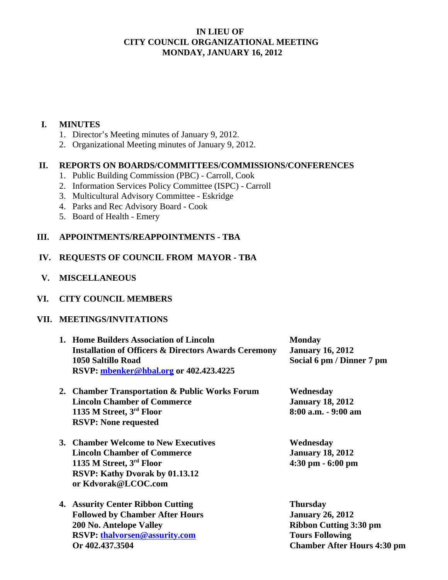## **IN LIEU OF CITY COUNCIL ORGANIZATIONAL MEETING MONDAY, JANUARY 16, 2012**

## **I. MINUTES**

- 1. Director's Meeting minutes of January 9, 2012.
- 2. Organizational Meeting minutes of January 9, 2012.

#### **II. REPORTS ON BOARDS/COMMITTEES/COMMISSIONS/CONFERENCES**

- 1. Public Building Commission (PBC) Carroll, Cook
- 2. Information Services Policy Committee (ISPC) Carroll
- 3. Multicultural Advisory Committee Eskridge
- 4. Parks and Rec Advisory Board Cook
- 5. Board of Health Emery

## **III. APPOINTMENTS/REAPPOINTMENTS - TBA**

# **IV. REQUESTS OF COUNCIL FROM MAYOR - TBA**

 **V. MISCELLANEOUS** 

## **VI. CITY COUNCIL MEMBERS**

#### **VII. MEETINGS/INVITATIONS**

| 1. Home Builders Association of Lincoln<br><b>Installation of Officers &amp; Directors Awards Ceremony</b><br>1050 Saltillo Road<br>RSVP: mbenker@hbal.org or 402.423.4225 | <b>Monday</b><br><b>January 16, 2012</b><br>Social 6 pm / Dinner 7 pm                                                                       |
|----------------------------------------------------------------------------------------------------------------------------------------------------------------------------|---------------------------------------------------------------------------------------------------------------------------------------------|
| 2. Chamber Transportation & Public Works Forum<br><b>Lincoln Chamber of Commerce</b><br>1135 M Street, 3rd Floor<br><b>RSVP: None requested</b>                            | Wednesday<br><b>January 18, 2012</b><br>8:00 a.m. - 9:00 am                                                                                 |
| 3. Chamber Welcome to New Executives<br><b>Lincoln Chamber of Commerce</b><br>1135 M Street, 3rd Floor<br>RSVP: Kathy Dvorak by 01.13.12<br>or Kdvorak@LCOC.com            | Wednesday<br><b>January 18, 2012</b><br>$4:30 \text{ pm} - 6:00 \text{ pm}$                                                                 |
| 4. Assurity Center Ribbon Cutting<br><b>Followed by Chamber After Hours</b><br>200 No. Antelope Valley<br><b>RSVP:</b> thalvorsen@assurity.com<br>Or 402.437.3504          | <b>Thursday</b><br><b>January 26, 2012</b><br><b>Ribbon Cutting 3:30 pm</b><br><b>Tours Following</b><br><b>Chamber After Hours 4:30 pm</b> |